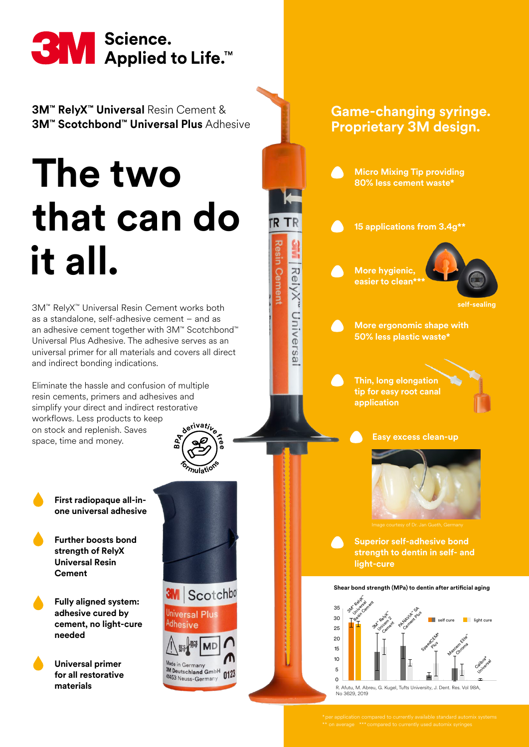

**3M™ RelyX™ Universal** Resin Cement & **3M™ Scotchbond™ Universal Plus** Adhesive

# **The two that can do it all.**

3M™ RelyX™ Universal Resin Cement works both as a standalone, self-adhesive cement – and as an adhesive cement together with 3M™ Scotchbond™ Universal Plus Adhesive. The adhesive serves as an universal primer for all materials and covers all direct and indirect bonding indications.

Eliminate the hassle and confusion of multiple resin cements, primers and adhesives and simplify your direct and indirect restorative workflows. Less products to keep on stock and replenish. Saves space, time and money. **Bd**<sub>e</sub><sup>tivative</sup>

> **First radiopaque all-inone universal adhesive**

**Further boosts bond strength of RelyX Universal Resin Cement**

**Fully aligned system: adhesive cured by cement, no light-cure needed**

**Universal primer for all restorative materials** 



**<sup>f</sup>ormulation<sup>s</sup>**

**e**



Germany Made in Germany<br><sup>3M</sup> Deutschland GmbH<br><sup>41453</sup> Neuse-Germany 41453 Neuss-Germany





No 3629, 2019

R. Afutu, M. Abreu, G. Kugel, Tufts University, J. Dent. Res. Vol 98